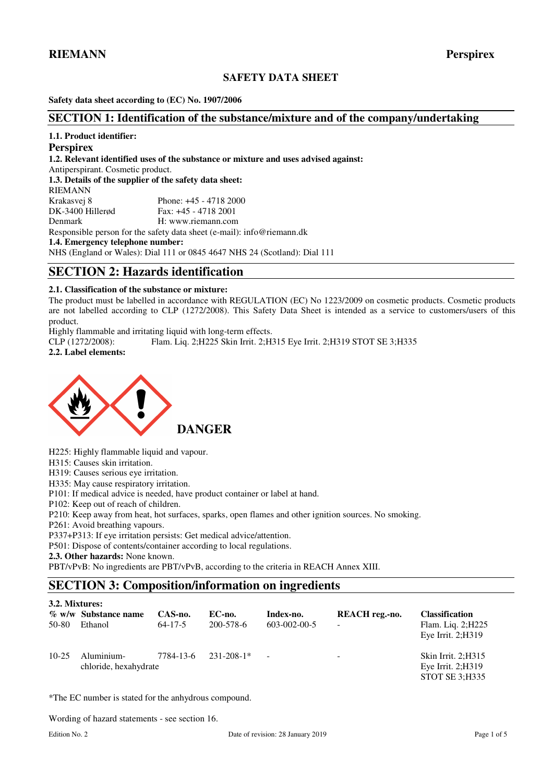# **SAFETY DATA SHEET**

**Safety data sheet according to (EC) No. 1907/2006** 

## **SECTION 1: Identification of the substance/mixture and of the company/undertaking**

## **1.1. Product identifier:**

#### **Perspirex**

**1.2. Relevant identified uses of the substance or mixture and uses advised against:** 

Antiperspirant. Cosmetic product.

**1.3. Details of the supplier of the safety data sheet:**  RIEMANN Krakasvej 8 Phone: +45 - 4718 2000<br>DK-3400 Hillerød Fax: +45 - 4718 2001 Fax: +45 - 4718 2001 Denmark H: www.riemann.com

Responsible person for the safety data sheet (e-mail): info@riemann.dk

**1.4. Emergency telephone number:** 

NHS (England or Wales): Dial 111 or 0845 4647 NHS 24 (Scotland): Dial 111

# **SECTION 2: Hazards identification**

## **2.1. Classification of the substance or mixture:**

The product must be labelled in accordance with REGULATION (EC) No 1223/2009 on cosmetic products. Cosmetic products are not labelled according to CLP (1272/2008). This Safety Data Sheet is intended as a service to customers/users of this product.

Highly flammable and irritating liquid with long-term effects.

CLP (1272/2008): Flam. Liq. 2;H225 Skin Irrit. 2;H315 Eye Irrit. 2;H319 STOT SE 3;H335 **2.2. Label elements:** 





H225: Highly flammable liquid and vapour.

H315: Causes skin irritation.

H319: Causes serious eye irritation.

H335: May cause respiratory irritation.

P101: If medical advice is needed, have product container or label at hand.

P102: Keep out of reach of children.

P210: Keep away from heat, hot surfaces, sparks, open flames and other ignition sources. No smoking.

P261: Avoid breathing vapours.

P337+P313: If eye irritation persists: Get medical advice/attention.

P501: Dispose of contents/container according to local regulations.

**2.3. Other hazards:** None known.

PBT/vPvB: No ingredients are PBT/vPvB, according to the criteria in REACH Annex XIII.

# **SECTION 3: Composition/information on ingredients**

| 3.2. Mixtures: |                                     |                          |                     |                                   |                                            |                                                                    |
|----------------|-------------------------------------|--------------------------|---------------------|-----------------------------------|--------------------------------------------|--------------------------------------------------------------------|
| 50-80          | % w/w Substance name<br>Ethanol     | CAS-no.<br>$64 - 17 - 5$ | EC-no.<br>200-578-6 | Index-no.<br>$603 - 002 - 00 - 5$ | REACH reg.-no.<br>$\overline{\phantom{a}}$ | <b>Classification</b><br>Flam. Liq. 2; H225<br>Eye Irrit. $2;H319$ |
| $10-25$        | Aluminium-<br>chloride, hexahydrate | 7784-13-6                | $231 - 208 - 1*$    | $\overline{\phantom{a}}$          | $\overline{\phantom{a}}$                   | Skin Irrit. 2:H315<br>Eye Irrit. $2:$ H $319$<br>STOT SE 3:H335    |

\*The EC number is stated for the anhydrous compound.

Wording of hazard statements - see section 16.

**3.2. Mixtures:**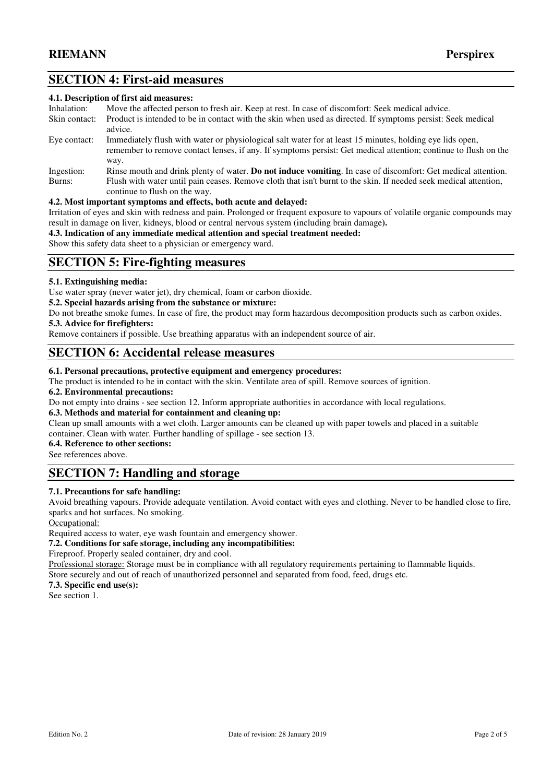# **SECTION 4: First-aid measures**

#### **4.1. Description of first aid measures:**

| Inhalation:   | Move the affected person to fresh air. Keep at rest. In case of discomfort: Seek medical advice.                                                                                                                                    |
|---------------|-------------------------------------------------------------------------------------------------------------------------------------------------------------------------------------------------------------------------------------|
| Skin contact: | Product is intended to be in contact with the skin when used as directed. If symptoms persist: Seek medical<br>advice.                                                                                                              |
| Eye contact:  | Immediately flush with water or physiological salt water for at least 15 minutes, holding eye lids open,<br>remember to remove contact lenses, if any. If symptoms persist: Get medical attention; continue to flush on the<br>way. |
| Ingestion:    | Rinse mouth and drink plenty of water. <b>Do not induce vomiting</b> . In case of discomfort: Get medical attention.                                                                                                                |
|               |                                                                                                                                                                                                                                     |
| Burns:        | Flush with water until pain ceases. Remove cloth that isn't burnt to the skin. If needed seek medical attention,                                                                                                                    |
|               | continue to flush on the way.                                                                                                                                                                                                       |

## **4.2. Most important symptoms and effects, both acute and delayed:**

Irritation of eyes and skin with redness and pain. Prolonged or frequent exposure to vapours of volatile organic compounds may result in damage on liver, kidneys, blood or central nervous system (including brain damage**).** 

## **4.3. Indication of any immediate medical attention and special treatment needed:**

Show this safety data sheet to a physician or emergency ward.

# **SECTION 5: Fire-fighting measures**

## **5.1. Extinguishing media:**

Use water spray (never water jet), dry chemical, foam or carbon dioxide.

### **5.2. Special hazards arising from the substance or mixture:**

Do not breathe smoke fumes. In case of fire, the product may form hazardous decomposition products such as carbon oxides. **5.3. Advice for firefighters:** 

Remove containers if possible. Use breathing apparatus with an independent source of air.

## **SECTION 6: Accidental release measures**

### **6.1. Personal precautions, protective equipment and emergency procedures:**

The product is intended to be in contact with the skin. Ventilate area of spill. Remove sources of ignition.

#### **6.2. Environmental precautions:**

Do not empty into drains - see section 12. Inform appropriate authorities in accordance with local regulations.

### **6.3. Methods and material for containment and cleaning up:**

Clean up small amounts with a wet cloth. Larger amounts can be cleaned up with paper towels and placed in a suitable container. Clean with water. Further handling of spillage - see section 13.

### **6.4. Reference to other sections:**

See references above.

# **SECTION 7: Handling and storage**

## **7.1. Precautions for safe handling:**

Avoid breathing vapours. Provide adequate ventilation. Avoid contact with eyes and clothing. Never to be handled close to fire, sparks and hot surfaces. No smoking.

Occupational:

Required access to water, eye wash fountain and emergency shower.

## **7.2. Conditions for safe storage, including any incompatibilities:**

Fireproof. Properly sealed container, dry and cool.

Professional storage: Storage must be in compliance with all regulatory requirements pertaining to flammable liquids.

Store securely and out of reach of unauthorized personnel and separated from food, feed, drugs etc.

**7.3. Specific end use(s):**

See section 1.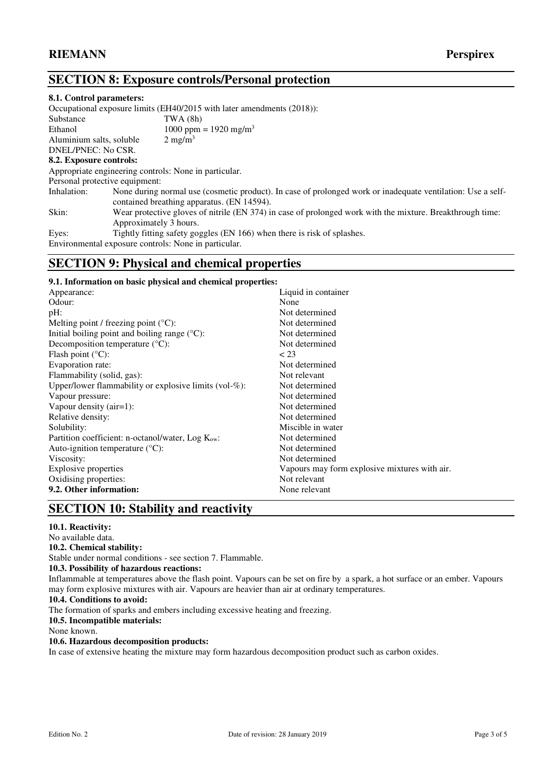# **SECTION 8: Exposure controls/Personal protection**

#### **8.1. Control parameters:**

Occupational exposure limits (EH40/2015 with later amendments (2018)):

| Substance                      | TWA(8h)                                                                                                                                                   |
|--------------------------------|-----------------------------------------------------------------------------------------------------------------------------------------------------------|
| Ethanol                        | 1000 ppm = 1920 mg/m <sup>3</sup>                                                                                                                         |
| Aluminium salts, soluble       | $2 \text{ mg/m}^3$                                                                                                                                        |
| DNEL/PNEC: No CSR.             |                                                                                                                                                           |
| 8.2. Exposure controls:        |                                                                                                                                                           |
|                                | Appropriate engineering controls: None in particular.                                                                                                     |
| Personal protective equipment: |                                                                                                                                                           |
| Inhalation:                    | None during normal use (cosmetic product). In case of prolonged work or inadequate ventilation: Use a self-<br>contained breathing apparatus. (EN 14594). |
| Skin:                          | Wear protective gloves of nitrile (EN 374) in case of prolonged work with the mixture. Breakthrough time:<br>Approximately 3 hours.                       |
| Eyes:                          | Tightly fitting safety goggles (EN 166) when there is risk of splashes.                                                                                   |
|                                | Environmental exposure controls: None in particular.                                                                                                      |

# **SECTION 9: Physical and chemical properties**

### **9.1. Information on basic physical and chemical properties:**

| Appearance:                                               | Liquid in container                           |
|-----------------------------------------------------------|-----------------------------------------------|
| Odour:                                                    | None                                          |
| pH:                                                       | Not determined                                |
| Melting point / freezing point $(^{\circ}C)$ :            | Not determined                                |
| Initial boiling point and boiling range $({}^{\circ}C)$ : | Not determined                                |
| Decomposition temperature $(^{\circ}C)$ :                 | Not determined                                |
| Flash point $(^{\circ}C)$ :                               | < 23                                          |
| Evaporation rate:                                         | Not determined                                |
| Flammability (solid, gas):                                | Not relevant                                  |
| Upper/lower flammability or explosive limits (vol-%):     | Not determined                                |
| Vapour pressure:                                          | Not determined                                |
| Vapour density (air=1):                                   | Not determined                                |
| Relative density:                                         | Not determined                                |
| Solubility:                                               | Miscible in water                             |
| Partition coefficient: n-octanol/water, $Log Kow$ :       | Not determined                                |
| Auto-ignition temperature $({}^{\circ}C)$ :               | Not determined                                |
| Viscosity:                                                | Not determined                                |
| Explosive properties                                      | Vapours may form explosive mixtures with air. |
| Oxidising properties:                                     | Not relevant                                  |
| 9.2. Other information:                                   | None relevant                                 |

# **SECTION 10: Stability and reactivity**

## **10.1. Reactivity:**

## No available data.

**10.2. Chemical stability:** 

Stable under normal conditions - see section 7. Flammable.

#### **10.3. Possibility of hazardous reactions:**

Inflammable at temperatures above the flash point. Vapours can be set on fire by a spark, a hot surface or an ember. Vapours may form explosive mixtures with air. Vapours are heavier than air at ordinary temperatures.

#### **10.4. Conditions to avoid:**

The formation of sparks and embers including excessive heating and freezing.

**10.5. Incompatible materials:** 

None known.

#### **10.6. Hazardous decomposition products:**

In case of extensive heating the mixture may form hazardous decomposition product such as carbon oxides.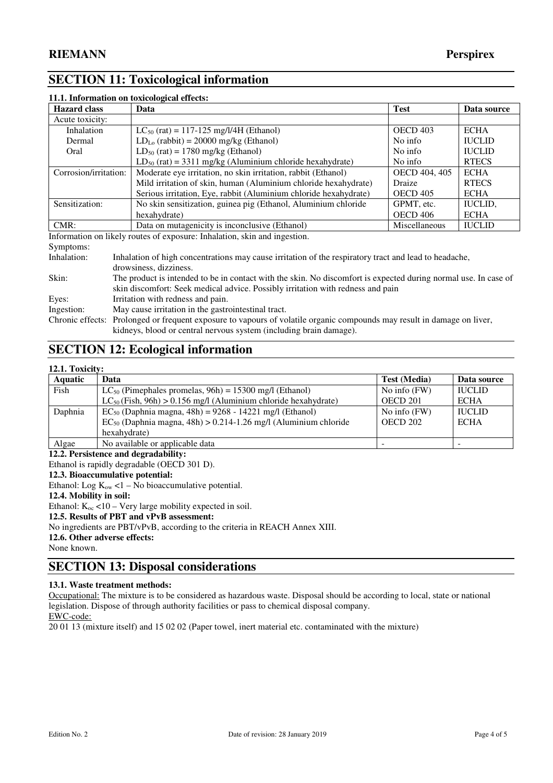# **SECTION 11: Toxicological information**

| 11.1. Information on toxicological effects: |                                                                           |                 |                |
|---------------------------------------------|---------------------------------------------------------------------------|-----------------|----------------|
| <b>Hazard class</b>                         | Data                                                                      | <b>Test</b>     | Data source    |
| Acute toxicity:                             |                                                                           |                 |                |
| Inhalation                                  | $LC_{50}$ (rat) = 117-125 mg/l/4H (Ethanol)                               | <b>OECD 403</b> | <b>ECHA</b>    |
| Dermal                                      | $LD_{Lo}$ (rabbit) = 20000 mg/kg (Ethanol)                                | No info         | <b>IUCLID</b>  |
| Oral                                        | $LD_{50}$ (rat) = 1780 mg/kg (Ethanol)                                    | No info         | <b>IUCLID</b>  |
|                                             | $LD_{50}$ (rat) = 3311 mg/kg (Aluminium chloride hexahydrate)             | No info         | <b>RTECS</b>   |
| Corrosion/irritation:                       | Moderate eye irritation, no skin irritation, rabbit (Ethanol)             | OECD 404, 405   | ECHA           |
|                                             | Mild irritation of skin, human (Aluminium chloride hexahydrate)           | Draize          | <b>RTECS</b>   |
|                                             | Serious irritation, Eye, rabbit (Aluminium chloride hexahydrate)          | <b>OECD 405</b> | <b>ECHA</b>    |
| Sensitization:                              | No skin sensitization, guinea pig (Ethanol, Aluminium chloride            | GPMT, etc.      | <b>IUCLID.</b> |
|                                             | hexahydrate)                                                              | <b>OECD 406</b> | <b>ECHA</b>    |
| $CMR$ :                                     | Data on mutagenicity is inconclusive (Ethanol)                            | Miscellaneous   | <b>IUCLID</b>  |
|                                             | Information on likely routes of exposure: Inhalation, skin and ingestion. |                 |                |

Symptoms:<br>Inhalation: Inhalation of high concentrations may cause irritation of the respiratory tract and lead to headache, drowsiness, dizziness. Skin: The product is intended to be in contact with the skin. No discomfort is expected during normal use. In case of skin discomfort: Seek medical advice. Possibly irritation with redness and pain Eyes: Irritation with redness and pain. Ingestion: May cause irritation in the gastrointestinal tract. Chronic effects: Prolonged or frequent exposure to vapours of volatile organic compounds may result in damage on liver, kidneys, blood or central nervous system (including brain damage).

# **SECTION 12: Ecological information**

## **12.1. Toxicity:**

| <b>Aquatic</b> | Data                                                                 | <b>Test (Media)</b> | Data source   |
|----------------|----------------------------------------------------------------------|---------------------|---------------|
| Fish           | $LC_{50}$ (Pimephales promelas, 96h) = 15300 mg/l (Ethanol)          | No info (FW)        | <b>IUCLID</b> |
|                | $LC_{50}$ (Fish, 96h) > 0.156 mg/l (Aluminium chloride hexahydrate)  | OECD 201            | <b>ECHA</b>   |
| Daphnia        | $EC_{50}$ (Daphnia magna, 48h) = 9268 - 14221 mg/l (Ethanol)         | No info $(FW)$      | <b>IUCLID</b> |
|                | $EC_{50}$ (Daphnia magna, 48h) > 0.214-1.26 mg/l (Aluminium chloride | <b>OECD 202</b>     | <b>ECHA</b>   |
|                | hexahvdrate)                                                         |                     |               |
| Algae          | No available or applicable data                                      | -                   |               |

**12.2. Persistence and degradability:**

Ethanol is rapidly degradable (OECD 301 D).

**12.3. Bioaccumulative potential:**

Ethanol: Log  $K_{ow}$  <1 – No bioaccumulative potential.

**12.4. Mobility in soil:** 

Ethanol:  $K_{\text{oc}} < 10 - \text{Verv}$  large mobility expected in soil.

**12.5. Results of PBT and vPvB assessment:** 

No ingredients are PBT/vPvB, according to the criteria in REACH Annex XIII.

**12.6. Other adverse effects:** 

None known.

# **SECTION 13: Disposal considerations**

**13.1. Waste treatment methods:** 

Occupational: The mixture is to be considered as hazardous waste. Disposal should be according to local, state or national legislation. Dispose of through authority facilities or pass to chemical disposal company. EWC-code:

20 01 13 (mixture itself) and 15 02 02 (Paper towel, inert material etc. contaminated with the mixture)